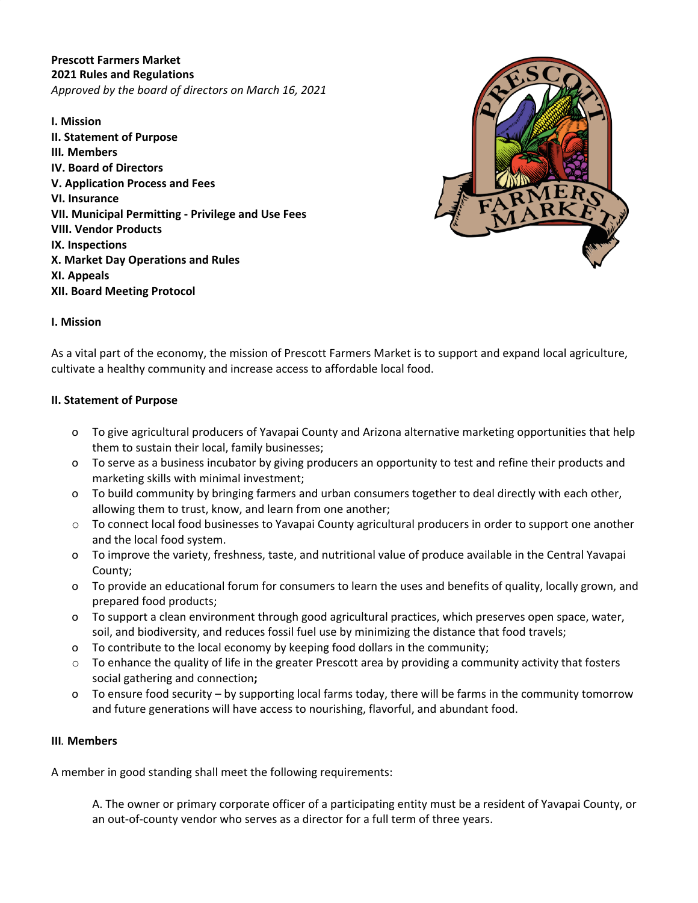**Prescott Farmers Market 2021 Rules and Regulations** *Approved by the board of directors on March 16, 2021*

**I. Mission II. Statement of Purpose III***.* **Members IV. Board of Directors V. Application Process and Fees VI. Insurance VII. Municipal Permitting - Privilege and Use Fees VIII. Vendor Products IX. Inspections X. Market Day Operations and Rules XI. Appeals XII. Board Meeting Protocol**



## **I. Mission**

As a vital part of the economy, the mission of Prescott Farmers Market is to support and expand local agriculture, cultivate a healthy community and increase access to affordable local food.

#### **II. Statement of Purpose**

- o To give agricultural producers of Yavapai County and Arizona alternative marketing opportunities that help them to sustain their local, family businesses;
- o To serve as a business incubator by giving producers an opportunity to test and refine their products and marketing skills with minimal investment;
- o To build community by bringing farmers and urban consumers together to deal directly with each other, allowing them to trust, know, and learn from one another;
- o To connect local food businesses to Yavapai County agricultural producers in order to support one another and the local food system.
- o To improve the variety, freshness, taste, and nutritional value of produce available in the Central Yavapai County;
- o To provide an educational forum for consumers to learn the uses and benefits of quality, locally grown, and prepared food products;
- o To support a clean environment through good agricultural practices, which preserves open space, water, soil, and biodiversity, and reduces fossil fuel use by minimizing the distance that food travels;
- o To contribute to the local economy by keeping food dollars in the community;
- $\circ$  To enhance the quality of life in the greater Prescott area by providing a community activity that fosters social gathering and connection**;**
- o To ensure food security by supporting local farms today, there will be farms in the community tomorrow and future generations will have access to nourishing, flavorful, and abundant food.

#### **III***.* **Members**

A member in good standing shall meet the following requirements:

A. The owner or primary corporate officer of a participating entity must be a resident of Yavapai County, or an out-of-county vendor who serves as a director for a full term of three years.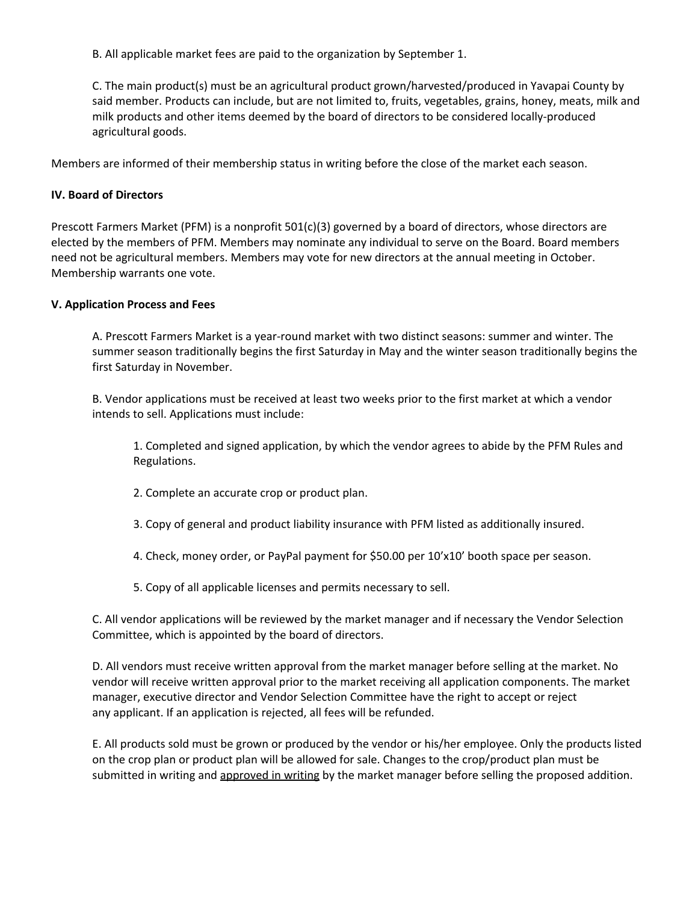B. All applicable market fees are paid to the organization by September 1.

C. The main product(s) must be an agricultural product grown/harvested/produced in Yavapai County by said member. Products can include, but are not limited to, fruits, vegetables, grains, honey, meats, milk and milk products and other items deemed by the board of directors to be considered locally-produced agricultural goods.

Members are informed of their membership status in writing before the close of the market each season.

## **IV. Board of Directors**

Prescott Farmers Market (PFM) is a nonprofit 501(c)(3) governed by a board of directors, whose directors are elected by the members of PFM. Members may nominate any individual to serve on the Board. Board members need not be agricultural members. Members may vote for new directors at the annual meeting in October. Membership warrants one vote.

## **V. Application Process and Fees**

A. Prescott Farmers Market is a year-round market with two distinct seasons: summer and winter. The summer season traditionally begins the first Saturday in May and the winter season traditionally begins the first Saturday in November.

B. Vendor applications must be received at least two weeks prior to the first market at which a vendor intends to sell. Applications must include:

1. Completed and signed application, by which the vendor agrees to abide by the PFM Rules and Regulations.

- 2. Complete an accurate crop or product plan.
- 3. Copy of general and product liability insurance with PFM listed as additionally insured.
- 4. Check, money order, or PayPal payment for \$50.00 per 10'x10' booth space per season.
- 5. Copy of all applicable licenses and permits necessary to sell.

C. All vendor applications will be reviewed by the market manager and if necessary the Vendor Selection Committee, which is appointed by the board of directors.

D. All vendors must receive written approval from the market manager before selling at the market. No vendor will receive written approval prior to the market receiving all application components. The market manager, executive director and Vendor Selection Committee have the right to accept or reject any applicant. If an application is rejected, all fees will be refunded.

E. All products sold must be grown or produced by the vendor or his/her employee. Only the products listed on the crop plan or product plan will be allowed for sale. Changes to the crop/product plan must be submitted in writing and approved in writing by the market manager before selling the proposed addition.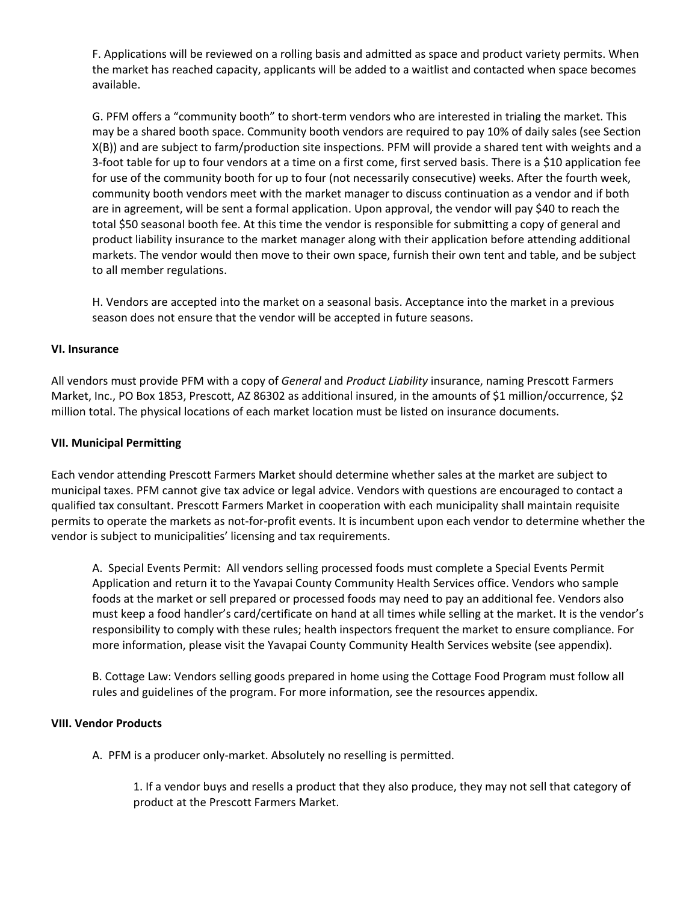F. Applications will be reviewed on a rolling basis and admitted as space and product variety permits. When the market has reached capacity, applicants will be added to a waitlist and contacted when space becomes available.

G. PFM offers a "community booth" to short-term vendors who are interested in trialing the market. This may be a shared booth space. Community booth vendors are required to pay 10% of daily sales (see Section X(B)) and are subject to farm/production site inspections. PFM will provide a shared tent with weights and a 3-foot table for up to four vendors at a time on a first come, first served basis. There is a \$10 application fee for use of the community booth for up to four (not necessarily consecutive) weeks. After the fourth week, community booth vendors meet with the market manager to discuss continuation as a vendor and if both are in agreement, will be sent a formal application. Upon approval, the vendor will pay \$40 to reach the total \$50 seasonal booth fee. At this time the vendor is responsible for submitting a copy of general and product liability insurance to the market manager along with their application before attending additional markets. The vendor would then move to their own space, furnish their own tent and table, and be subject to all member regulations.

H. Vendors are accepted into the market on a seasonal basis. Acceptance into the market in a previous season does not ensure that the vendor will be accepted in future seasons.

## **VI. Insurance**

All vendors must provide PFM with a copy of *General* and *Product Liability* insurance, naming Prescott Farmers Market, Inc., PO Box 1853, Prescott, AZ 86302 as additional insured, in the amounts of \$1 million/occurrence, \$2 million total. The physical locations of each market location must be listed on insurance documents.

#### **VII. Municipal Permitting**

Each vendor attending Prescott Farmers Market should determine whether sales at the market are subject to municipal taxes. PFM cannot give tax advice or legal advice. Vendors with questions are encouraged to contact a qualified tax consultant. Prescott Farmers Market in cooperation with each municipality shall maintain requisite permits to operate the markets as not-for-profit events. It is incumbent upon each vendor to determine whether the vendor is subject to municipalities' licensing and tax requirements.

A. Special Events Permit: All vendors selling processed foods must complete a Special Events Permit Application and return it to the Yavapai County Community Health Services office. Vendors who sample foods at the market or sell prepared or processed foods may need to pay an additional fee. Vendors also must keep a food handler's card/certificate on hand at all times while selling at the market. It is the vendor's responsibility to comply with these rules; health inspectors frequent the market to ensure compliance. For more information, please visit the Yavapai County Community Health Services website (see appendix).

B. Cottage Law: Vendors selling goods prepared in home using the Cottage Food Program must follow all rules and guidelines of the program. For more information, see the resources appendix.

#### **VIII. Vendor Products**

A. PFM is a producer only-market. Absolutely no reselling is permitted.

1. If a vendor buys and resells a product that they also produce, they may not sell that category of product at the Prescott Farmers Market.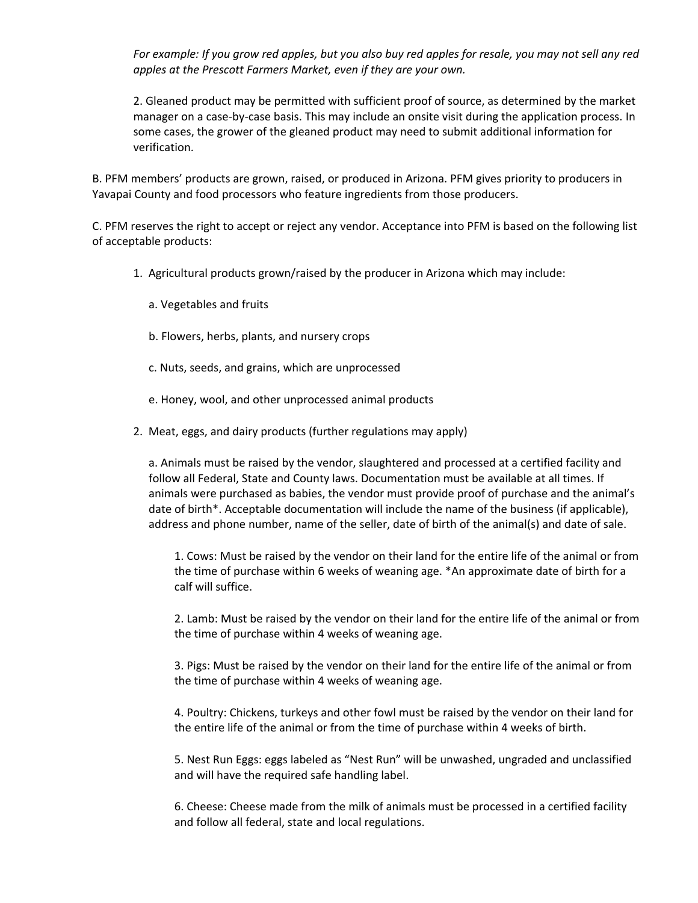For example: If you grow red apples, but you also buy red apples for resale, you may not sell any red *apples at the Prescott Farmers Market, even if they are your own.*

2. Gleaned product may be permitted with sufficient proof of source, as determined by the market manager on a case-by-case basis. This may include an onsite visit during the application process. In some cases, the grower of the gleaned product may need to submit additional information for verification.

B. PFM members' products are grown, raised, or produced in Arizona. PFM gives priority to producers in Yavapai County and food processors who feature ingredients from those producers.

C. PFM reserves the right to accept or reject any vendor. Acceptance into PFM is based on the following list of acceptable products:

- 1. Agricultural products grown/raised by the producer in Arizona which may include:
	- a. Vegetables and fruits
	- b. Flowers, herbs, plants, and nursery crops
	- c. Nuts, seeds, and grains, which are unprocessed
	- e. Honey, wool, and other unprocessed animal products
- 2. Meat, eggs, and dairy products (further regulations may apply)

a. Animals must be raised by the vendor, slaughtered and processed at a certified facility and follow all Federal, State and County laws. Documentation must be available at all times. If animals were purchased as babies, the vendor must provide proof of purchase and the animal's date of birth\*. Acceptable documentation will include the name of the business (if applicable), address and phone number, name of the seller, date of birth of the animal(s) and date of sale.

1. Cows: Must be raised by the vendor on their land for the entire life of the animal or from the time of purchase within 6 weeks of weaning age. \*An approximate date of birth for a calf will suffice.

2. Lamb: Must be raised by the vendor on their land for the entire life of the animal or from the time of purchase within 4 weeks of weaning age.

3. Pigs: Must be raised by the vendor on their land for the entire life of the animal or from the time of purchase within 4 weeks of weaning age.

4. Poultry: Chickens, turkeys and other fowl must be raised by the vendor on their land for the entire life of the animal or from the time of purchase within 4 weeks of birth.

5. Nest Run Eggs: eggs labeled as "Nest Run" will be unwashed, ungraded and unclassified and will have the required safe handling label.

6. Cheese: Cheese made from the milk of animals must be processed in a certified facility and follow all federal, state and local regulations.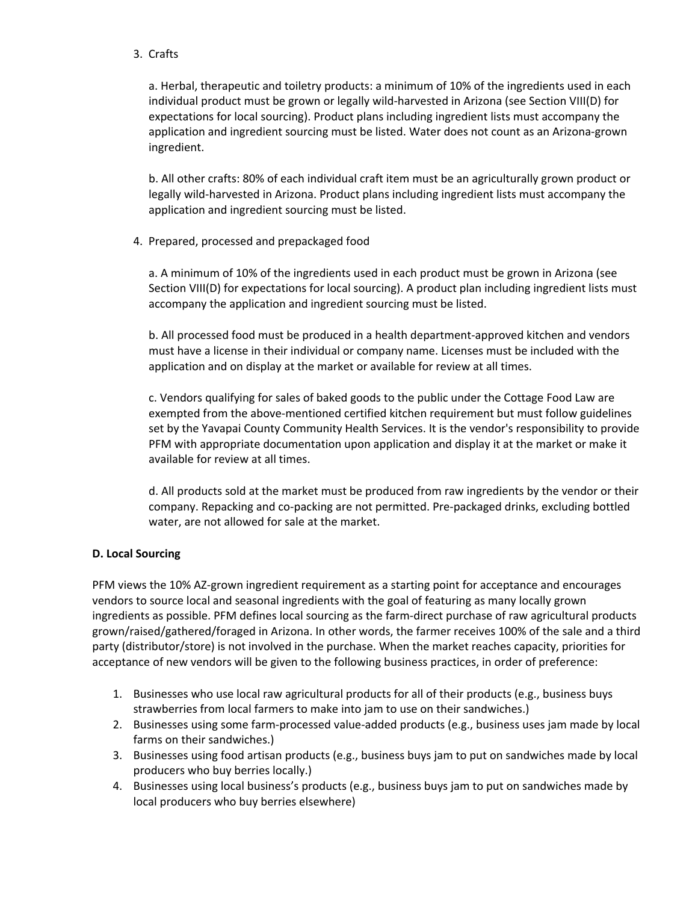## 3. Crafts

a. Herbal, therapeutic and toiletry products: a minimum of 10% of the ingredients used in each individual product must be grown or legally wild-harvested in Arizona (see Section VIII(D) for expectations for local sourcing). Product plans including ingredient lists must accompany the application and ingredient sourcing must be listed. Water does not count as an Arizona-grown ingredient.

b. All other crafts: 80% of each individual craft item must be an agriculturally grown product or legally wild-harvested in Arizona. Product plans including ingredient lists must accompany the application and ingredient sourcing must be listed.

4. Prepared, processed and prepackaged food

a. A minimum of 10% of the ingredients used in each product must be grown in Arizona (see Section VIII(D) for expectations for local sourcing). A product plan including ingredient lists must accompany the application and ingredient sourcing must be listed.

b. All processed food must be produced in a health department-approved kitchen and vendors must have a license in their individual or company name. Licenses must be included with the application and on display at the market or available for review at all times.

c. Vendors qualifying for sales of baked goods to the public under the Cottage Food Law are exempted from the above-mentioned certified kitchen requirement but must follow guidelines set by the Yavapai County Community Health Services. It is the vendor's responsibility to provide PFM with appropriate documentation upon application and display it at the market or make it available for review at all times.

d. All products sold at the market must be produced from raw ingredients by the vendor or their company. Repacking and co-packing are not permitted. Pre-packaged drinks, excluding bottled water, are not allowed for sale at the market.

## **D. Local Sourcing**

PFM views the 10% AZ-grown ingredient requirement as a starting point for acceptance and encourages vendors to source local and seasonal ingredients with the goal of featuring as many locally grown ingredients as possible. PFM defines local sourcing as the farm-direct purchase of raw agricultural products grown/raised/gathered/foraged in Arizona. In other words, the farmer receives 100% of the sale and a third party (distributor/store) is not involved in the purchase. When the market reaches capacity, priorities for acceptance of new vendors will be given to the following business practices, in order of preference:

- 1. Businesses who use local raw agricultural products for all of their products (e.g., business buys strawberries from local farmers to make into jam to use on their sandwiches.)
- 2. Businesses using some farm-processed value-added products (e.g., business uses jam made by local farms on their sandwiches.)
- 3. Businesses using food artisan products (e.g., business buys jam to put on sandwiches made by local producers who buy berries locally.)
- 4. Businesses using local business's products (e.g., business buys jam to put on sandwiches made by local producers who buy berries elsewhere)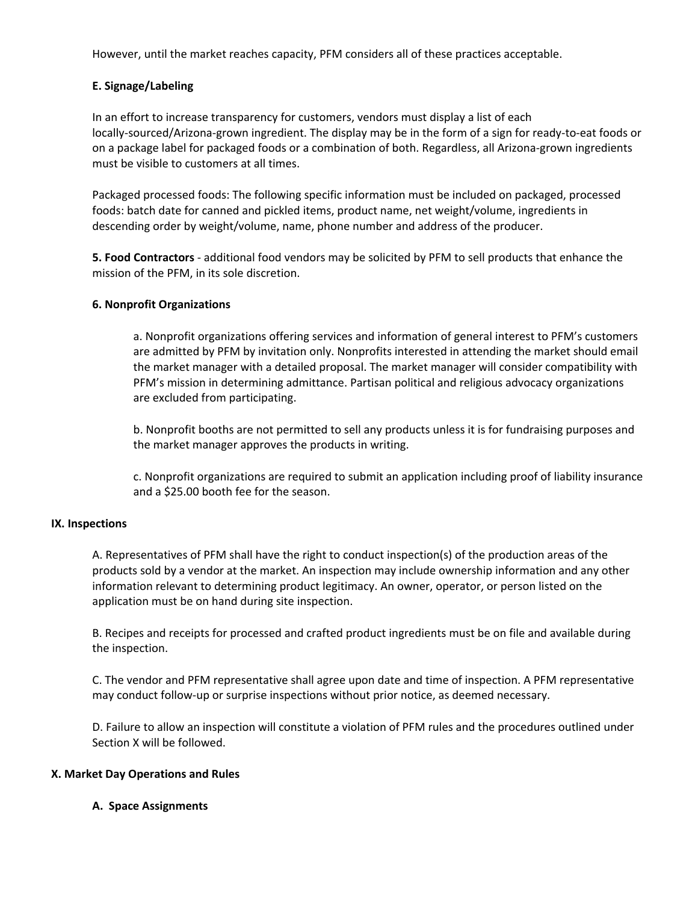However, until the market reaches capacity, PFM considers all of these practices acceptable.

## **E. Signage/Labeling**

In an effort to increase transparency for customers, vendors must display a list of each locally-sourced/Arizona-grown ingredient. The display may be in the form of a sign for ready-to-eat foods or on a package label for packaged foods or a combination of both. Regardless, all Arizona-grown ingredients must be visible to customers at all times.

Packaged processed foods: The following specific information must be included on packaged, processed foods: batch date for canned and pickled items, product name, net weight/volume, ingredients in descending order by weight/volume, name, phone number and address of the producer.

**5. Food Contractors** - additional food vendors may be solicited by PFM to sell products that enhance the mission of the PFM, in its sole discretion.

## **6. Nonprofit Organizations**

a. Nonprofit organizations offering services and information of general interest to PFM's customers are admitted by PFM by invitation only. Nonprofits interested in attending the market should email the market manager with a detailed proposal. The market manager will consider compatibility with PFM's mission in determining admittance. Partisan political and religious advocacy organizations are excluded from participating.

b. Nonprofit booths are not permitted to sell any products unless it is for fundraising purposes and the market manager approves the products in writing.

c. Nonprofit organizations are required to submit an application including proof of liability insurance and a \$25.00 booth fee for the season.

## **IX. Inspections**

A. Representatives of PFM shall have the right to conduct inspection(s) of the production areas of the products sold by a vendor at the market. An inspection may include ownership information and any other information relevant to determining product legitimacy. An owner, operator, or person listed on the application must be on hand during site inspection.

B. Recipes and receipts for processed and crafted product ingredients must be on file and available during the inspection.

C. The vendor and PFM representative shall agree upon date and time of inspection. A PFM representative may conduct follow-up or surprise inspections without prior notice, as deemed necessary.

D. Failure to allow an inspection will constitute a violation of PFM rules and the procedures outlined under Section X will be followed.

## **X. Market Day Operations and Rules**

## **A. Space Assignments**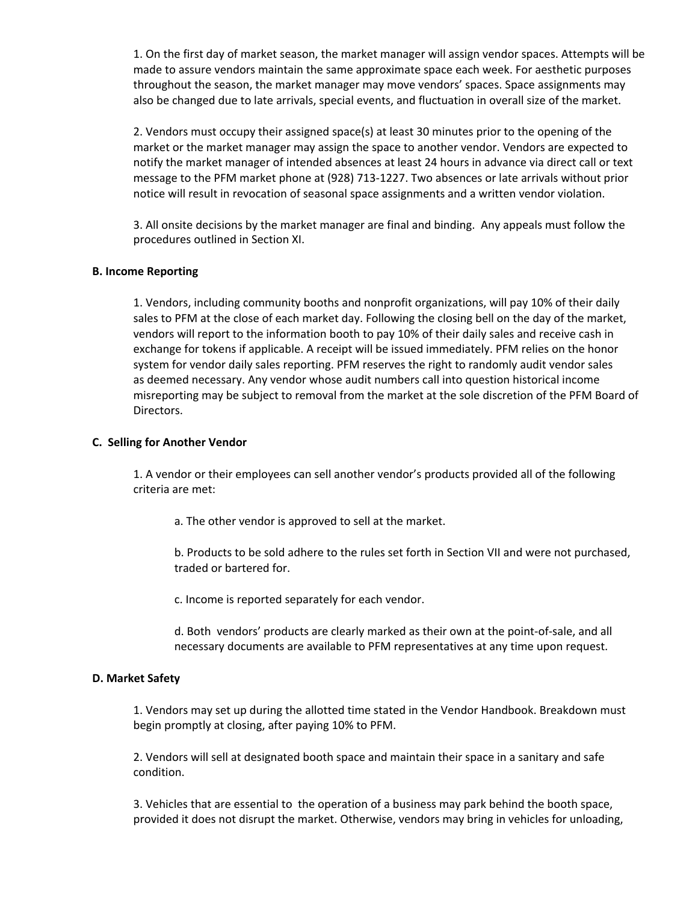1. On the first day of market season, the market manager will assign vendor spaces. Attempts will be made to assure vendors maintain the same approximate space each week. For aesthetic purposes throughout the season, the market manager may move vendors' spaces. Space assignments may also be changed due to late arrivals, special events, and fluctuation in overall size of the market.

2. Vendors must occupy their assigned space(s) at least 30 minutes prior to the opening of the market or the market manager may assign the space to another vendor. Vendors are expected to notify the market manager of intended absences at least 24 hours in advance via direct call or text message to the PFM market phone at (928) 713-1227. Two absences or late arrivals without prior notice will result in revocation of seasonal space assignments and a written vendor violation.

3. All onsite decisions by the market manager are final and binding. Any appeals must follow the procedures outlined in Section XI.

#### **B. Income Reporting**

1. Vendors, including community booths and nonprofit organizations, will pay 10% of their daily sales to PFM at the close of each market day. Following the closing bell on the day of the market, vendors will report to the information booth to pay 10% of their daily sales and receive cash in exchange for tokens if applicable. A receipt will be issued immediately. PFM relies on the honor system for vendor daily sales reporting. PFM reserves the right to randomly audit vendor sales as deemed necessary. Any vendor whose audit numbers call into question historical income misreporting may be subject to removal from the market at the sole discretion of the PFM Board of Directors.

#### **C. Selling for Another Vendor**

1. A vendor or their employees can sell another vendor's products provided all of the following criteria are met:

a. The other vendor is approved to sell at the market.

b. Products to be sold adhere to the rules set forth in Section VII and were not purchased, traded or bartered for.

c. Income is reported separately for each vendor.

d. Both vendors' products are clearly marked as their own at the point-of-sale, and all necessary documents are available to PFM representatives at any time upon request.

#### **D. Market Safety**

1. Vendors may set up during the allotted time stated in the Vendor Handbook. Breakdown must begin promptly at closing, after paying 10% to PFM.

2. Vendors will sell at designated booth space and maintain their space in a sanitary and safe condition.

3. Vehicles that are essential to the operation of a business may park behind the booth space, provided it does not disrupt the market. Otherwise, vendors may bring in vehicles for unloading,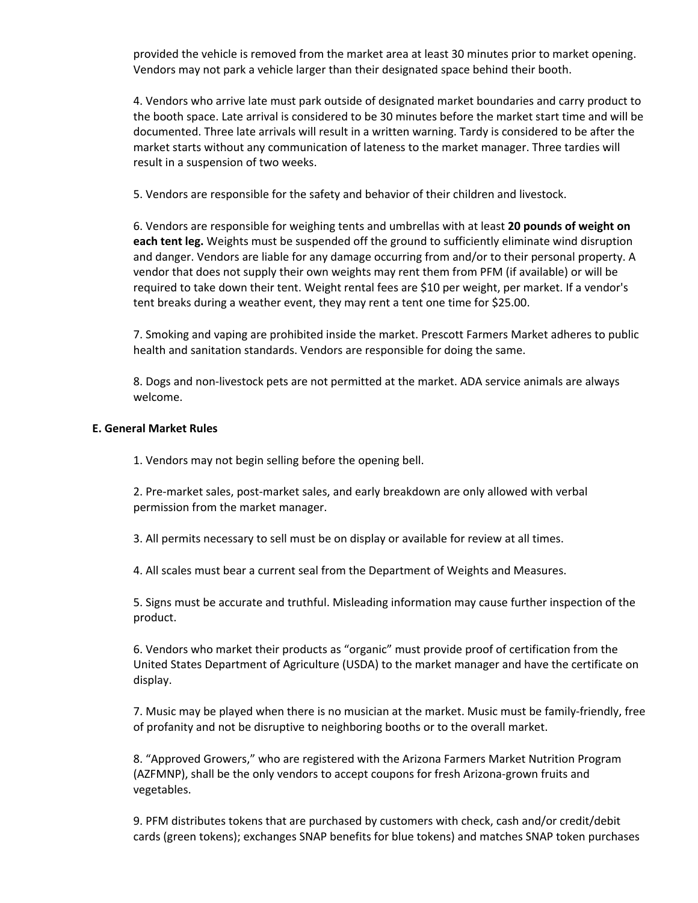provided the vehicle is removed from the market area at least 30 minutes prior to market opening. Vendors may not park a vehicle larger than their designated space behind their booth.

4. Vendors who arrive late must park outside of designated market boundaries and carry product to the booth space. Late arrival is considered to be 30 minutes before the market start time and will be documented. Three late arrivals will result in a written warning. Tardy is considered to be after the market starts without any communication of lateness to the market manager. Three tardies will result in a suspension of two weeks.

5. Vendors are responsible for the safety and behavior of their children and livestock.

6. Vendors are responsible for weighing tents and umbrellas with at least **20 pounds of weight on each tent leg.** Weights must be suspended off the ground to sufficiently eliminate wind disruption and danger. Vendors are liable for any damage occurring from and/or to their personal property. A vendor that does not supply their own weights may rent them from PFM (if available) or will be required to take down their tent. Weight rental fees are \$10 per weight, per market. If a vendor's tent breaks during a weather event, they may rent a tent one time for \$25.00.

7. Smoking and vaping are prohibited inside the market. Prescott Farmers Market adheres to public health and sanitation standards. Vendors are responsible for doing the same.

8. Dogs and non-livestock pets are not permitted at the market. ADA service animals are always welcome.

#### **E. General Market Rules**

1. Vendors may not begin selling before the opening bell.

2. Pre-market sales, post-market sales, and early breakdown are only allowed with verbal permission from the market manager.

3. All permits necessary to sell must be on display or available for review at all times.

4. All scales must bear a current seal from the Department of Weights and Measures.

5. Signs must be accurate and truthful. Misleading information may cause further inspection of the product.

6. Vendors who market their products as "organic" must provide proof of certification from the United States Department of Agriculture (USDA) to the market manager and have the certificate on display.

7. Music may be played when there is no musician at the market. Music must be family-friendly, free of profanity and not be disruptive to neighboring booths or to the overall market.

8. "Approved Growers," who are registered with the Arizona Farmers Market Nutrition Program (AZFMNP), shall be the only vendors to accept coupons for fresh Arizona-grown fruits and vegetables.

9. PFM distributes tokens that are purchased by customers with check, cash and/or credit/debit cards (green tokens); exchanges SNAP benefits for blue tokens) and matches SNAP token purchases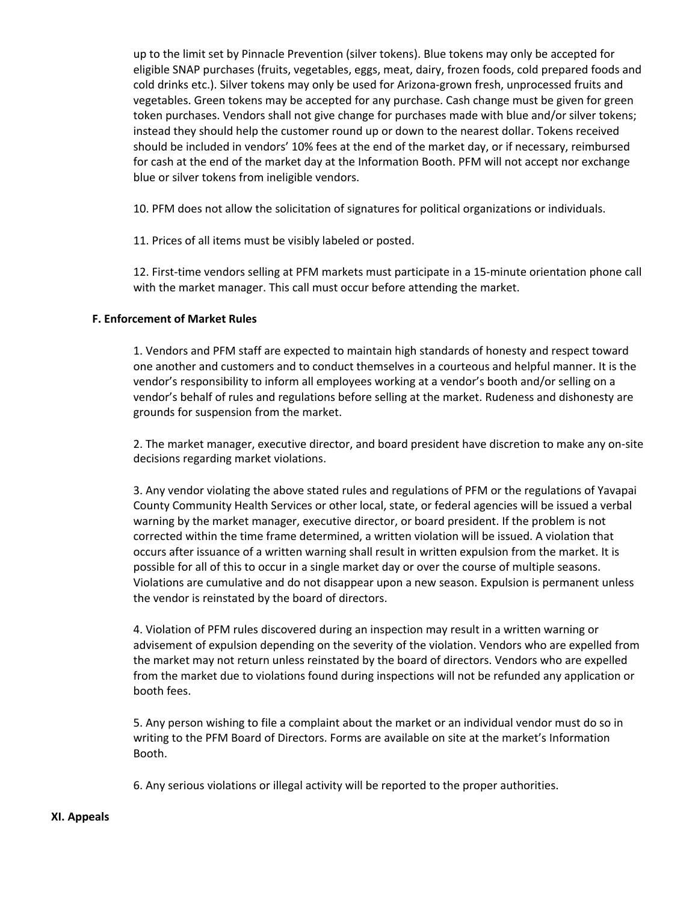up to the limit set by Pinnacle Prevention (silver tokens). Blue tokens may only be accepted for eligible SNAP purchases (fruits, vegetables, eggs, meat, dairy, frozen foods, cold prepared foods and cold drinks etc.). Silver tokens may only be used for Arizona-grown fresh, unprocessed fruits and vegetables. Green tokens may be accepted for any purchase. Cash change must be given for green token purchases. Vendors shall not give change for purchases made with blue and/or silver tokens; instead they should help the customer round up or down to the nearest dollar. Tokens received should be included in vendors' 10% fees at the end of the market day, or if necessary, reimbursed for cash at the end of the market day at the Information Booth. PFM will not accept nor exchange blue or silver tokens from ineligible vendors.

10. PFM does not allow the solicitation of signatures for political organizations or individuals.

11. Prices of all items must be visibly labeled or posted.

12. First-time vendors selling at PFM markets must participate in a 15-minute orientation phone call with the market manager. This call must occur before attending the market.

#### **F. Enforcement of Market Rules**

1. Vendors and PFM staff are expected to maintain high standards of honesty and respect toward one another and customers and to conduct themselves in a courteous and helpful manner. It is the vendor's responsibility to inform all employees working at a vendor's booth and/or selling on a vendor's behalf of rules and regulations before selling at the market. Rudeness and dishonesty are grounds for suspension from the market.

2. The market manager, executive director, and board president have discretion to make any on-site decisions regarding market violations.

3. Any vendor violating the above stated rules and regulations of PFM or the regulations of Yavapai County Community Health Services or other local, state, or federal agencies will be issued a verbal warning by the market manager, executive director, or board president. If the problem is not corrected within the time frame determined, a written violation will be issued. A violation that occurs after issuance of a written warning shall result in written expulsion from the market. It is possible for all of this to occur in a single market day or over the course of multiple seasons. Violations are cumulative and do not disappear upon a new season. Expulsion is permanent unless the vendor is reinstated by the board of directors.

4. Violation of PFM rules discovered during an inspection may result in a written warning or advisement of expulsion depending on the severity of the violation. Vendors who are expelled from the market may not return unless reinstated by the board of directors. Vendors who are expelled from the market due to violations found during inspections will not be refunded any application or booth fees.

5. Any person wishing to file a complaint about the market or an individual vendor must do so in writing to the PFM Board of Directors. Forms are available on site at the market's Information Booth.

6. Any serious violations or illegal activity will be reported to the proper authorities.

#### **XI. Appeals**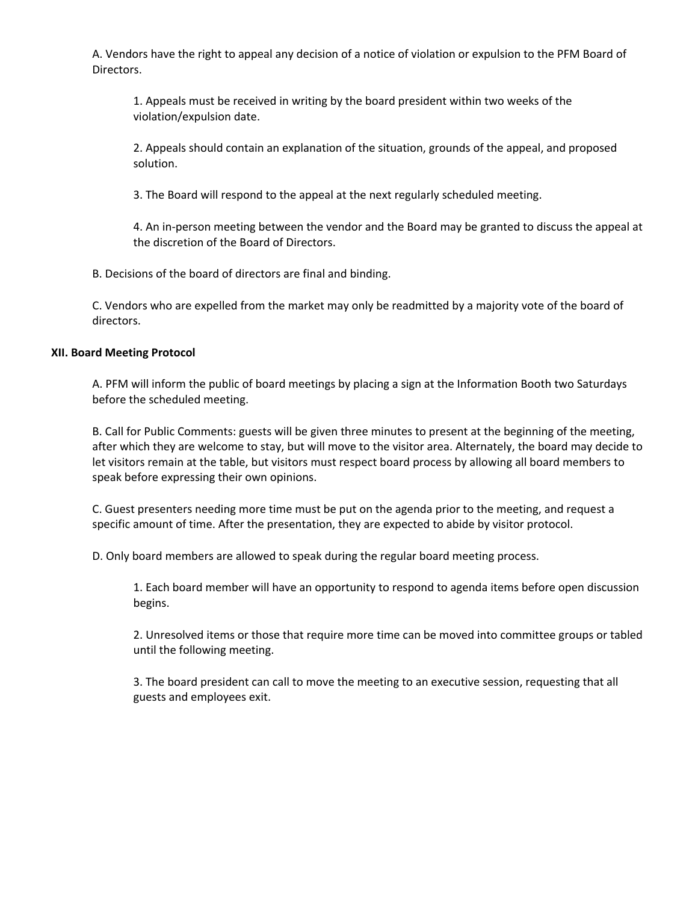A. Vendors have the right to appeal any decision of a notice of violation or expulsion to the PFM Board of Directors.

1. Appeals must be received in writing by the board president within two weeks of the violation/expulsion date.

2. Appeals should contain an explanation of the situation, grounds of the appeal, and proposed solution.

3. The Board will respond to the appeal at the next regularly scheduled meeting.

4. An in-person meeting between the vendor and the Board may be granted to discuss the appeal at the discretion of the Board of Directors.

B. Decisions of the board of directors are final and binding.

C. Vendors who are expelled from the market may only be readmitted by a majority vote of the board of directors.

## **XII. Board Meeting Protocol**

A. PFM will inform the public of board meetings by placing a sign at the Information Booth two Saturdays before the scheduled meeting.

B. Call for Public Comments: guests will be given three minutes to present at the beginning of the meeting, after which they are welcome to stay, but will move to the visitor area. Alternately, the board may decide to let visitors remain at the table, but visitors must respect board process by allowing all board members to speak before expressing their own opinions.

C. Guest presenters needing more time must be put on the agenda prior to the meeting, and request a specific amount of time. After the presentation, they are expected to abide by visitor protocol.

D. Only board members are allowed to speak during the regular board meeting process.

1. Each board member will have an opportunity to respond to agenda items before open discussion begins.

2. Unresolved items or those that require more time can be moved into committee groups or tabled until the following meeting.

3. The board president can call to move the meeting to an executive session, requesting that all guests and employees exit.